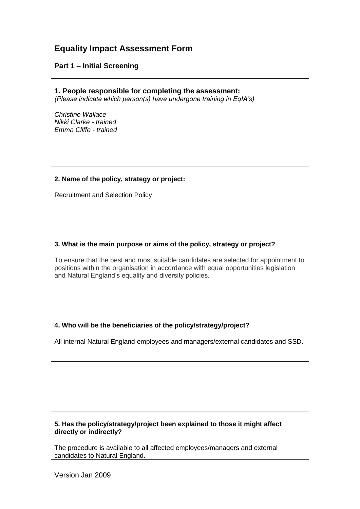# **Equality Impact Assessment Form**

## **Part 1 – Initial Screening**

**1. People responsible for completing the assessment:** *(Please indicate which person(s) have undergone training in EqIA's)*

*Christine Wallace Nikki Clarke - trained Emma Cliffe - trained*

## **2. Name of the policy, strategy or project:**

Recruitment and Selection Policy

## **3. What is the main purpose or aims of the policy, strategy or project?**

To ensure that the best and most suitable candidates are selected for appointment to positions within the organisation in accordance with equal opportunities legislation and Natural England's equality and diversity policies.

# **4. Who will be the beneficiaries of the policy/strategy/project?**

All internal Natural England employees and managers/external candidates and SSD.

## **5. Has the policy/strategy/project been explained to those it might affect directly or indirectly?**

The procedure is available to all affected employees/managers and external candidates to Natural England.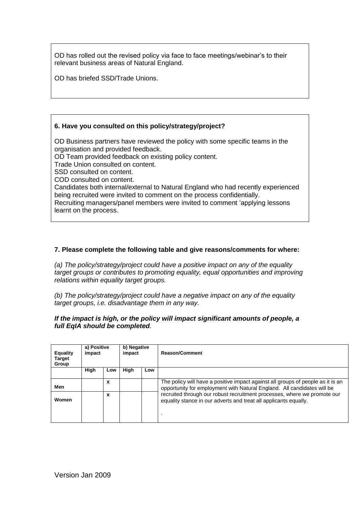OD has rolled out the revised policy via face to face meetings/webinar's to their relevant business areas of Natural England.

OD has briefed SSD/Trade Unions.

## **6. Have you consulted on this policy/strategy/project?**

OD Business partners have reviewed the policy with some specific teams in the organisation and provided feedback. OD Team provided feedback on existing policy content. Trade Union consulted on content. SSD consulted on content. COD consulted on content. Candidates both internal/external to Natural England who had recently experienced being recruited were invited to comment on the process confidentially. Recruiting managers/panel members were invited to comment 'applying lessons learnt on the process.

## **7. Please complete the following table and give reasons/comments for where:**

*(a) The policy/strategy/project could have a positive impact on any of the equality target groups or contributes to promoting equality, equal opportunities and improving relations within equality target groups.*

*(b) The policy/strategy/project could have a negative impact on any of the equality target groups, i.e. disadvantage them in any way.* 

#### *If the impact is high, or the policy will impact significant amounts of people, a full EqIA should be completed.*

| <b>Equality</b><br><b>Target</b><br>Group | a) Positive<br>impact |     | b) Negative<br>impact |     | <b>Reason/Comment</b>                                                                                                                                      |
|-------------------------------------------|-----------------------|-----|-----------------------|-----|------------------------------------------------------------------------------------------------------------------------------------------------------------|
|                                           | High                  | Low | High                  | Low |                                                                                                                                                            |
| Men                                       |                       | X   |                       |     | The policy will have a positive impact against all groups of people as it is an<br>opportunity for employment with Natural England. All candidates will be |
| Women                                     |                       | X   |                       |     | recruited through our robust recruitment processes, where we promote our<br>equality stance in our adverts and treat all applicants equally.               |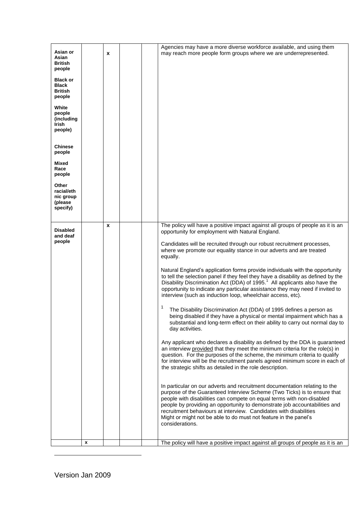| people<br>Mixed<br>Race<br>people<br>Other<br>racial/eth<br>nic group<br>(please<br>specify)<br>The policy will have a positive impact against all groups of people as it is an<br>X<br><b>Disabled</b><br>opportunity for employment with Natural England.<br>and deaf<br>people<br>Candidates will be recruited through our robust recruitment processes,<br>where we promote our equality stance in our adverts and are treated<br>equally.<br>Natural England's application forms provide individuals with the opportunity<br>to tell the selection panel if they feel they have a disability as defined by the<br>Disability Discrimination Act (DDA) of 1995. <sup>1</sup> All applicants also have the<br>opportunity to indicate any particular assistance they may need if invited to<br>interview (such as induction loop, wheelchair access, etc).<br>The Disability Discrimination Act (DDA) of 1995 defines a person as<br>being disabled if they have a physical or mental impairment which has a<br>substantial and long-term effect on their ability to carry out normal day to<br>day activities.<br>Any applicant who declares a disability as defined by the DDA is guaranteed<br>an interview provided that they meet the minimum criteria for the role(s) in<br>question. For the purposes of the scheme, the minimum criteria to qualify<br>for interview will be the recruitment panels agreed minimum score in each of<br>the strategic shifts as detailed in the role description.<br>In particular on our adverts and recruitment documentation relating to the<br>purpose of the Guaranteed Interview Scheme (Two Ticks) is to ensure that<br>people with disabilities can compete on equal terms with non-disabled<br>people by providing an opportunity to demonstrate job accountabilities and<br>recruitment behaviours at interview. Candidates with disabilities<br>Might or might not be able to do must not feature in the panel's<br>considerations. | Asian or<br>Asian<br><b>British</b><br>people<br><b>Black or</b><br><b>Black</b><br><b>British</b><br>people<br>White<br>people<br>(including<br>Irish<br>people)<br><b>Chinese</b> |   | X |  | Agencies may have a more diverse workforce available, and using them<br>may reach more people form groups where we are underrepresented. |
|------------------------------------------------------------------------------------------------------------------------------------------------------------------------------------------------------------------------------------------------------------------------------------------------------------------------------------------------------------------------------------------------------------------------------------------------------------------------------------------------------------------------------------------------------------------------------------------------------------------------------------------------------------------------------------------------------------------------------------------------------------------------------------------------------------------------------------------------------------------------------------------------------------------------------------------------------------------------------------------------------------------------------------------------------------------------------------------------------------------------------------------------------------------------------------------------------------------------------------------------------------------------------------------------------------------------------------------------------------------------------------------------------------------------------------------------------------------------------------------------------------------------------------------------------------------------------------------------------------------------------------------------------------------------------------------------------------------------------------------------------------------------------------------------------------------------------------------------------------------------------------------------------------------------------------------------------------------------------------------|-------------------------------------------------------------------------------------------------------------------------------------------------------------------------------------|---|---|--|------------------------------------------------------------------------------------------------------------------------------------------|
|                                                                                                                                                                                                                                                                                                                                                                                                                                                                                                                                                                                                                                                                                                                                                                                                                                                                                                                                                                                                                                                                                                                                                                                                                                                                                                                                                                                                                                                                                                                                                                                                                                                                                                                                                                                                                                                                                                                                                                                          |                                                                                                                                                                                     |   |   |  |                                                                                                                                          |
|                                                                                                                                                                                                                                                                                                                                                                                                                                                                                                                                                                                                                                                                                                                                                                                                                                                                                                                                                                                                                                                                                                                                                                                                                                                                                                                                                                                                                                                                                                                                                                                                                                                                                                                                                                                                                                                                                                                                                                                          |                                                                                                                                                                                     |   |   |  |                                                                                                                                          |
|                                                                                                                                                                                                                                                                                                                                                                                                                                                                                                                                                                                                                                                                                                                                                                                                                                                                                                                                                                                                                                                                                                                                                                                                                                                                                                                                                                                                                                                                                                                                                                                                                                                                                                                                                                                                                                                                                                                                                                                          |                                                                                                                                                                                     | x |   |  | The policy will have a positive impact against all groups of people as it is an                                                          |

1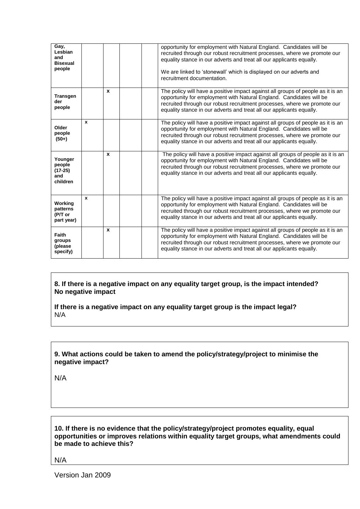| Gay,<br>Lesbian<br>and<br><b>Bisexual</b><br>people |              |                  | opportunity for employment with Natural England. Candidates will be<br>recruited through our robust recruitment processes, where we promote our<br>equality stance in our adverts and treat all our applicants equally.<br>We are linked to 'stonewall' which is displayed on our adverts and<br>recruitment documentation. |
|-----------------------------------------------------|--------------|------------------|-----------------------------------------------------------------------------------------------------------------------------------------------------------------------------------------------------------------------------------------------------------------------------------------------------------------------------|
| <b>Transgen</b><br>der<br>people                    |              | $\boldsymbol{x}$ | The policy will have a positive impact against all groups of people as it is an<br>opportunity for employment with Natural England. Candidates will be<br>recruited through our robust recruitment processes, where we promote our<br>equality stance in our adverts and treat all our applicants equally.                  |
| Older<br>people<br>$(50+)$                          | $\mathbf{x}$ |                  | The policy will have a positive impact against all groups of people as it is an<br>opportunity for employment with Natural England. Candidates will be<br>recruited through our robust recruitment processes, where we promote our<br>equality stance in our adverts and treat all our applicants equally.                  |
| Younger<br>people<br>$(17-25)$<br>and<br>children   |              | $\mathbf{x}$     | The policy will have a positive impact against all groups of people as it is an<br>opportunity for employment with Natural England. Candidates will be<br>recruited through our robust recruitment processes, where we promote our<br>equality stance in our adverts and treat all our applicants equally.                  |
| Working<br>patterns<br>(P/T or<br>part year)        | $\mathbf{x}$ |                  | The policy will have a positive impact against all groups of people as it is an<br>opportunity for employment with Natural England. Candidates will be<br>recruited through our robust recruitment processes, where we promote our<br>equality stance in our adverts and treat all our applicants equally.                  |
| Faith<br>groups<br>(please<br>specify)              |              | $\mathbf{x}$     | The policy will have a positive impact against all groups of people as it is an<br>opportunity for employment with Natural England. Candidates will be<br>recruited through our robust recruitment processes, where we promote our<br>equality stance in our adverts and treat all our applicants equally.                  |

**8. If there is a negative impact on any equality target group, is the impact intended? No negative impact**

**If there is a negative impact on any equality target group is the impact legal?** N/A

#### **9. What actions could be taken to amend the policy/strategy/project to minimise the negative impact?**

N/A

**10. If there is no evidence that the policy/strategy/project promotes equality, equal opportunities or improves relations within equality target groups, what amendments could be made to achieve this?**

N/A

Version Jan 2009